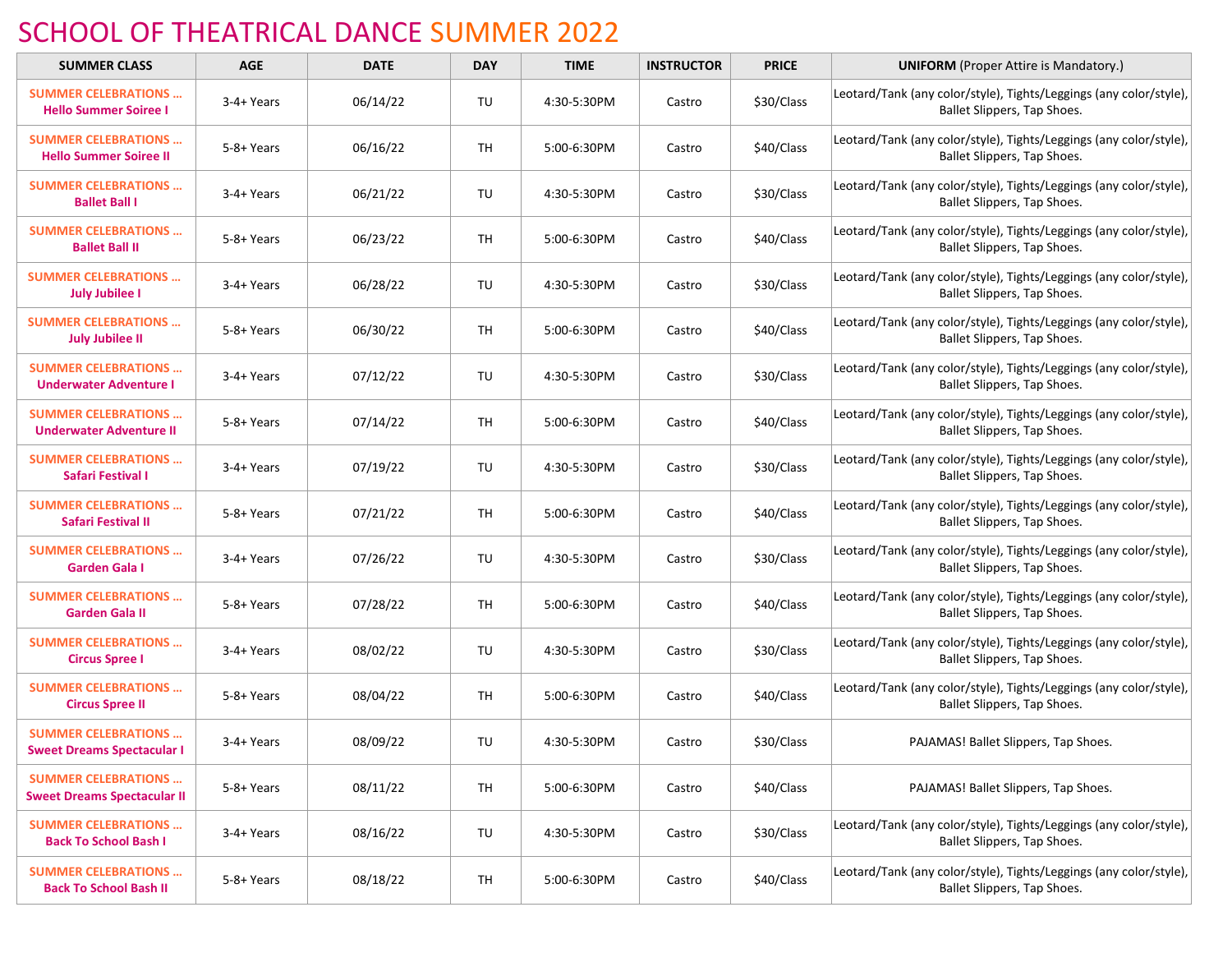## SCHOOL OF THEATRICAL DANCE SUMMER 2022

| <b>SUMMER CLASS</b>                                               | <b>AGE</b> | <b>DATE</b> | <b>DAY</b> | <b>TIME</b> | <b>INSTRUCTOR</b> | <b>PRICE</b> | <b>UNIFORM</b> (Proper Attire is Mandatory.)                                                      |
|-------------------------------------------------------------------|------------|-------------|------------|-------------|-------------------|--------------|---------------------------------------------------------------------------------------------------|
| <b>SUMMER CELEBRATIONS </b><br><b>Hello Summer Soiree I</b>       | 3-4+ Years | 06/14/22    | TU         | 4:30-5:30PM | Castro            | \$30/Class   | Leotard/Tank (any color/style), Tights/Leggings (any color/style),<br>Ballet Slippers, Tap Shoes. |
| <b>SUMMER CELEBRATIONS </b><br><b>Hello Summer Soiree II</b>      | 5-8+ Years | 06/16/22    | TH         | 5:00-6:30PM | Castro            | \$40/Class   | Leotard/Tank (any color/style), Tights/Leggings (any color/style),<br>Ballet Slippers, Tap Shoes. |
| <b>SUMMER CELEBRATIONS </b><br><b>Ballet Ball I</b>               | 3-4+ Years | 06/21/22    | TU         | 4:30-5:30PM | Castro            | \$30/Class   | Leotard/Tank (any color/style), Tights/Leggings (any color/style),<br>Ballet Slippers, Tap Shoes. |
| <b>SUMMER CELEBRATIONS </b><br><b>Ballet Ball II</b>              | 5-8+ Years | 06/23/22    | TH         | 5:00-6:30PM | Castro            | \$40/Class   | Leotard/Tank (any color/style), Tights/Leggings (any color/style),<br>Ballet Slippers, Tap Shoes. |
| <b>SUMMER CELEBRATIONS </b><br><b>July Jubilee I</b>              | 3-4+ Years | 06/28/22    | TU         | 4:30-5:30PM | Castro            | \$30/Class   | Leotard/Tank (any color/style), Tights/Leggings (any color/style),<br>Ballet Slippers, Tap Shoes. |
| <b>SUMMER CELEBRATIONS </b><br><b>July Jubilee II</b>             | 5-8+ Years | 06/30/22    | TH         | 5:00-6:30PM | Castro            | \$40/Class   | Leotard/Tank (any color/style), Tights/Leggings (any color/style),<br>Ballet Slippers, Tap Shoes. |
| <b>SUMMER CELEBRATIONS </b><br><b>Underwater Adventure I</b>      | 3-4+ Years | 07/12/22    | TU         | 4:30-5:30PM | Castro            | \$30/Class   | Leotard/Tank (any color/style), Tights/Leggings (any color/style),<br>Ballet Slippers, Tap Shoes. |
| <b>SUMMER CELEBRATIONS </b><br><b>Underwater Adventure II</b>     | 5-8+ Years | 07/14/22    | <b>TH</b>  | 5:00-6:30PM | Castro            | \$40/Class   | Leotard/Tank (any color/style), Tights/Leggings (any color/style),<br>Ballet Slippers, Tap Shoes. |
| <b>SUMMER CELEBRATIONS </b><br>Safari Festival I                  | 3-4+ Years | 07/19/22    | TU         | 4:30-5:30PM | Castro            | \$30/Class   | Leotard/Tank (any color/style), Tights/Leggings (any color/style),<br>Ballet Slippers, Tap Shoes. |
| <b>SUMMER CELEBRATIONS </b><br>Safari Festival II                 | 5-8+ Years | 07/21/22    | <b>TH</b>  | 5:00-6:30PM | Castro            | \$40/Class   | Leotard/Tank (any color/style), Tights/Leggings (any color/style),<br>Ballet Slippers, Tap Shoes. |
| <b>SUMMER CELEBRATIONS </b><br><b>Garden Gala I</b>               | 3-4+ Years | 07/26/22    | TU         | 4:30-5:30PM | Castro            | \$30/Class   | Leotard/Tank (any color/style), Tights/Leggings (any color/style),<br>Ballet Slippers, Tap Shoes. |
| <b>SUMMER CELEBRATIONS </b><br><b>Garden Gala II</b>              | 5-8+ Years | 07/28/22    | <b>TH</b>  | 5:00-6:30PM | Castro            | \$40/Class   | Leotard/Tank (any color/style), Tights/Leggings (any color/style),<br>Ballet Slippers, Tap Shoes. |
| <b>SUMMER CELEBRATIONS </b><br><b>Circus Spree I</b>              | 3-4+ Years | 08/02/22    | TU         | 4:30-5:30PM | Castro            | \$30/Class   | Leotard/Tank (any color/style), Tights/Leggings (any color/style),<br>Ballet Slippers, Tap Shoes. |
| <b>SUMMER CELEBRATIONS </b><br><b>Circus Spree II</b>             | 5-8+ Years | 08/04/22    | <b>TH</b>  | 5:00-6:30PM | Castro            | \$40/Class   | Leotard/Tank (any color/style), Tights/Leggings (any color/style),<br>Ballet Slippers, Tap Shoes. |
| <b>SUMMER CELEBRATIONS </b><br><b>Sweet Dreams Spectacular I</b>  | 3-4+ Years | 08/09/22    | TU         | 4:30-5:30PM | Castro            | \$30/Class   | PAJAMAS! Ballet Slippers, Tap Shoes.                                                              |
| <b>SUMMER CELEBRATIONS </b><br><b>Sweet Dreams Spectacular II</b> | 5-8+ Years | 08/11/22    | TH         | 5:00-6:30PM | Castro            | \$40/Class   | PAJAMAS! Ballet Slippers, Tap Shoes.                                                              |
| <b>SUMMER CELEBRATIONS </b><br><b>Back To School Bash I</b>       | 3-4+ Years | 08/16/22    | TU         | 4:30-5:30PM | Castro            | \$30/Class   | Leotard/Tank (any color/style), Tights/Leggings (any color/style),<br>Ballet Slippers, Tap Shoes. |
| <b>SUMMER CELEBRATIONS </b><br><b>Back To School Bash II</b>      | 5-8+ Years | 08/18/22    | TH         | 5:00-6:30PM | Castro            | \$40/Class   | Leotard/Tank (any color/style), Tights/Leggings (any color/style),<br>Ballet Slippers, Tap Shoes. |